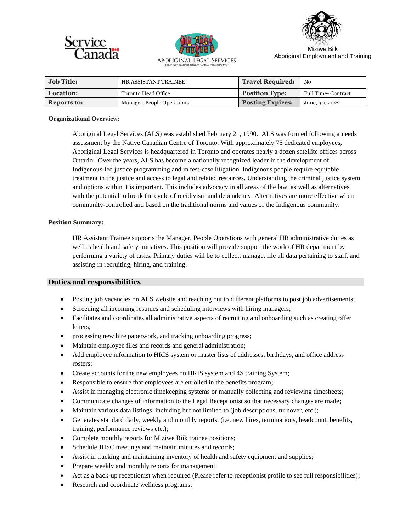





Aboriginal Employment and Training

| Job Title:         | HR ASSISTANT TRAINEE       | <b>Travel Required:</b> | No                         |
|--------------------|----------------------------|-------------------------|----------------------------|
| Location:          | Toronto Head Office        | <b>Position Type:</b>   | <b>Full Time- Contract</b> |
| <b>Reports to:</b> | Manager, People Operations | <b>Posting Expires:</b> | June, 30, 2022             |

### **Organizational Overview:**

Aboriginal Legal Services (ALS) was established February 21, 1990. ALS was formed following a needs assessment by the Native Canadian Centre of Toronto. With approximately 75 dedicated employees, Aboriginal Legal Services is headquartered in Toronto and operates nearly a dozen satellite offices across Ontario. Over the years, ALS has become a nationally recognized leader in the development of Indigenous-led justice programming and in test-case litigation. Indigenous people require equitable treatment in the justice and access to legal and related resources. Understanding the criminal justice system and options within it is important. This includes advocacy in all areas of the law, as well as alternatives with the potential to break the cycle of recidivism and dependency. Alternatives are more effective when community-controlled and based on the traditional norms and values of the Indigenous community.

### **Position Summary:**

HR Assistant Trainee supports the Manager, People Operations with general HR administrative duties as well as health and safety initiatives. This position will provide support the work of HR department by performing a variety of tasks. Primary duties will be to collect, manage, file all data pertaining to staff, and assisting in recruiting, hiring, and training.

## **Duties and responsibilities**

- Posting job vacancies on ALS website and reaching out to different platforms to post job advertisements;
- Screening all incoming resumes and scheduling interviews with hiring managers;
- Facilitates and coordinates all administrative aspects of recruiting and onboarding such as creating offer letters;
- processing new hire paperwork, and tracking onboarding progress;
- Maintain employee files and records and general administration;
- Add employee information to HRIS system or master lists of addresses, birthdays, and office address rosters;
- Create accounts for the new employees on HRIS system and 4S training System;
- Responsible to ensure that employees are enrolled in the benefits program;
- Assist in managing electronic time keeping systems or manually collecting and reviewing timesheets;
- Communicate changes of information to the Legal Receptionist so that necessary changes are made;
- Maintain various data listings, including but not limited to (job descriptions, turnover, etc.);
- Generates standard daily, weekly and monthly reports. (i.e. new hires, terminations, headcount, benefits, training, performance reviews etc.);
- Complete monthly reports for Miziwe Biik trainee positions;
- Schedule JHSC meetings and maintain minutes and records;
- Assist in tracking and maintaining inventory of health and safety equipment and supplies;
- Prepare weekly and monthly reports for management;
- Act as a back-up receptionist when required (Please refer to receptionist profile to see full responsibilities);
- Research and coordinate wellness programs;